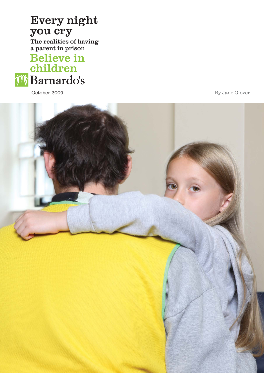# Every night you cry

The realities of having a parent in prison

**in Barnardo's** 

October 2009

By Jane Glover

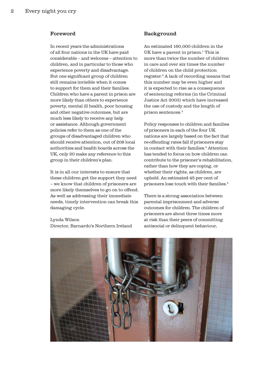#### Foreword

In recent years the administrations of all four nations in the UK have paid considerable – and welcome – attention to children, and in particular to those who experience poverty and disadvantage. But one significant group of children still remains invisible when it comes to support for them and their families. Children who have a parent in prison are more likely than others to experience poverty, mental ill health, poor housing and other negative outcomes, but are much less likely to receive any help or assistance. Although government policies refer to them as one of the groups of disadvantaged children who should receive attention, out of 208 local authorities and health boards across the UK, only 20 make any reference to this group in their children's plan.

It is in all our interests to ensure that these children get the support they need – we know that children of prisoners are more likely themselves to go on to offend. As well as addressing their immediate needs, timely intervention can break this damaging cycle.

Lynda Wilson Director, Barnardo's Northern Ireland

#### Background

An estimated 160,000 children in the UK have a parent in prison. $<sup>1</sup>$  This is</sup> more than twice the number of children in care and over six times the number of children on the child protection register.2 A lack of recording means that this number may be even higher and it is expected to rise as a consequence of sentencing reforms (in the Criminal Justice Act 2003) which have increased the use of custody and the length of prison sentences.3

Policy responses to children and families of prisoners in each of the four UK nations are largely based on the fact that re-offending rates fall if prisoners stay in contact with their families.<sup>4</sup> Attention has tended to focus on how children can contribute to the prisoner's rehabilitation, rather than how they are coping, or whether their rights, as children, are upheld. An estimated 45 per cent of prisoners lose touch with their families.5

There is a strong association between parental imprisonment and adverse outcomes for children. The children of prisoners are about three times more at risk than their peers of committing antisocial or delinquent behaviour,

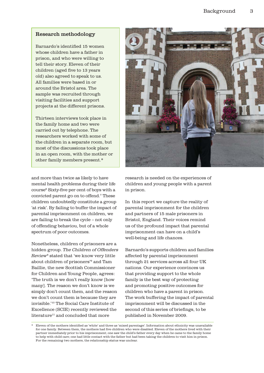# Research methodology

Barnardo's identified 15 women whose children have a father in prison, and who were willing to tell their story. Eleven of their children (aged five to 13 years old) also agreed to speak to us. All families were based in or around the Bristol area. The sample was recruited through visiting facilities and support projects at the different prisons.

Thirteen interviews took place in the family home and two were carried out by telephone. The researchers worked with some of the children in a separate room, but most of the discussions took place in an open room, with the mother or other family members present.\*

and more than twice as likely to have mental health problems during their life course<sup>6</sup> Sixty-five per cent of boys with a convicted parent go on to offend. $7$  These children undoubtedly constitute a group 'at risk'. By failing to buffer the impact of parental imprisonment on children, we are failing to break the cycle – not only of offending behaviou, but of a whole spectrum of poor outcomes.

Nonetheless, children of prisoners are a hidden group. *The Children of Offenders Review*8 stated that 'we know very little about children of prisoners'9 and Tam Baillie, the new Scottish Commissioner for Children and Young People, agrees: 'The truth is we don't really know [how many]. The reason we don't know is we simply don't count them, and the reason we don't count them is because they are invisible.'10 The Social Care Institute of Excellence (SCIE) recently reviewed the literature<sup>11</sup> and concluded that more



research is needed on the experiences of children and young people with a parent in prison.

In this report we capture the reality of parental imprisonment for the children and partners of 15 male prisoners in Bristol, England. Their voices remind us of the profound impact that parental imprisonment can have on a child's well-being and life chances.

Barnardo's supports children and families affected by parental imprisonment through 21 services across all four UK nations. Our experience convinces us that providing support to the whole family is the best way of protecting and promoting positive outcomes for children who have a parent in prison. The work buffering the impact of parental imprisonment will be discussed in the second of this series of briefings, to be published in November 2009.

<sup>\*</sup> Eleven of the mothers identifi ed as 'white' and three as 'mixed parentage'. Information about ethnicity was unavailable for one family. Between them, the mothers had five children who were disabled. Eleven of the mothers lived with their partner immediately prior to his imprisonment; one saw the child's father every day when he came to the family home to help with child care; one had little contact with the father but had been taking the children to visit him in prison. For the remaining two mothers, the relationship status was unclear.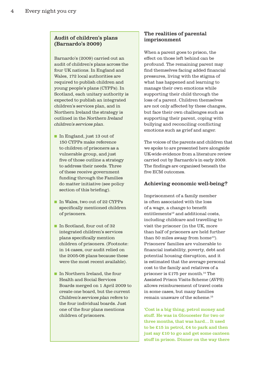# Audit of children's plans (Barnardo's 2009)

Barnardo's (2009) carried out an audit of children's plans across the four UK nations. In England and Wales, 172 local authorities are required to publish children and young people's plans (CYPPs). In Scotland, each unitary authority is expected to publish an integrated children's services plan, and in Northern Ireland the strategy is outlined in the *Northern Ireland children's services plan*.

- In England, just 13 out of 150 CYPPs make reference to children of prisoners as a vulnerable group, and just five of those outline a strategy to address their needs. Three of these receive government funding through the Families do matter initiative (see policy section of this briefing).
- In Wales, two out of 22 CYPPs specifically mentioned children of prisoners.
- In Scotland, four out of 32 integrated children's services plans specifically mention children of prisoners. (Footnote: in 14 cases, our audit relied on the 2005-08 plans because these were the most recent available).
- In Northern Ireland, the four Health and Social Services Boards merged on 1 April 2009 to create one board, but the current *Children's services plan* refers to the four individual boards. Just one of the four plans mentions children of prisoners.

# The realities of parental imprisonment

When a parent goes to prison, the effect on those left behind can be profound. The remaining parent may find themselves facing added financial pressures, living with the stigma of what has happened and learning to manage their own emotions while supporting their child through the loss of a parent. Children themselves are not only affected by these changes, but face their own challenges such as supporting their parent, coping with bullying and reconciling conflicting emotions such as grief and anger.

The voices of the parents and children that we spoke to are presented here alongside UK-wide evidence from a literature review carried out by Barnardo's in early 2009. The findings are organised beneath the five ECM outcomes.

# Achieving economic well-being?

Imprisonment of a family member is often associated with the loss of a wage, a change to benefit  $entilements<sup>12</sup> and additional costs,$ including childcare and travelling to visit the prisoner (in the UK, more than half of prisoners are held further than 50 miles awaay from home<sup>13</sup>). Prisoners' families are vulnerable to financial instability, poverty, debt and potential housing disruption, and it is estimated that the average personal cost to the family and relatives of a prisoner is £175 per month.<sup>14</sup> The Assisted Prison Visits Scheme (AVPS) allows reimbursement of travel costs in some cases, but many families remain unaware of the scheme.15

'Cost is a big thing, petrol money and stuff. He was in Gloucester for two or three months, that was hard… It used to be £15 in petrol, £4 to park and then just say £10 to go and get some canteen stuff in prison. Dinner on the way there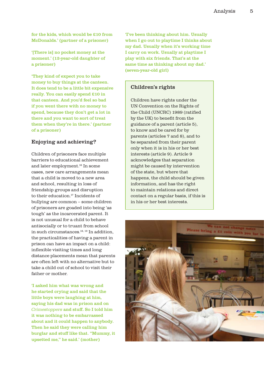for the kids, which would be £10 from McDonalds.' (partner of a prisoner)

'[There is] no pocket money at the moment.' (12-year-old daughter of a prisoner)

'They kind of expect you to take money to buy things at the canteen. It does tend to be a little bit expensive really. You can easily spend £10 in that canteen. And you'd feel so bad if you went there with no money to spend, because they don't get a lot in there and you want to sort of treat them when they're in there.' (partner of a prisoner)

#### Enjoying and achieving?

Children of prisoners face multiple barriers to educational achievement and later employment.16 In some cases, new care arrangements mean that a child is moved to a new area and school, resulting in loss of friendship groups and disruption to their education.17 Incidents of bullying are common – some children of prisoners are goaded into being 'as tough' as the incarcerated parent. It is not unusual for a child to behave antisocially or to truant from school in such circumstances.18, 19 In addition, the practicalities of having a parent in prison can have an impact on a child: inflexible visiting times and long distance placements mean that parents are often left with no alternative but to take a child out of school to visit their father or mother.

'I asked him what was wrong and he started crying and said that the little boys were laughing at him, saying his dad was in prison and on *Crimestoppers* and stuff. So I told him it was nothing to be embarrassed about and it could happen to anybody. Then he said they were calling him burglar and stuff like that. "Mummy, it upsetted me," he said.' (mother)

'I've been thinking about him. Usually when I go out to playtime I thinks about my dad. Usually when it's working time I carry on work. Usually at playtime I play with six friends. That's at the same time as thinking about my dad.' (seven-year-old girl)

#### Children's rights

Children have rights under the UN Convention on the Rights of the Child (UNCRC) 1989 (ratified by the UK) to benefit from the guidance of a parent (article 5), to know and be cared for by parents (articles 7 and 8), and to be separated from their parent only when it is in his or her best interests (article 9). Article 9 acknowledges that separation might be caused by intervention of the state, but where that happens, the child should be given information, and has the right to maintain relations and direct contact on a regular basis, if this is in his or her best interests.

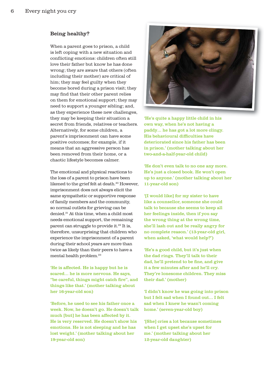### Being healthy?

When a parent goes to prison, a child is left coping with a new situation and conflicting emotions: children often still love their father but know he has done wrong; they are aware that others (often including their mother) are critical of him; they may feel guilty when they become bored during a prison visit; they may find that their other parent relies on them for emotional support; they may need to support a younger sibling; and, as they experience these new challenges, they may be keeping their situation a secret from friends, relatives or teachers. Alternatively, for some children, a parent's imprisonment can have some positive outcomes; for example, if it means that an aggressive person has been removed from their home, or a chaotic lifestyle becomes calmer.

The emotional and physical reactions to the loss of a parent to prison have been likened to the grief felt at death.<sup>20</sup> However, imprisonment does not always elicit the same sympathetic or supportive response of family members and the community, so normal outlets for grieving can be denied.21 At this time, when a child most needs emotional support, the remaining parent can struggle to provide it.<sup>22</sup> It is, therefore, unsurprising that children who experience the imprisonment of a parent during their school years are more than twice as likely than their peers to have a mental health problem.23

'He is affected. He is happy but he is scared… he is more nervous. He says, "be careful, things might catch fire", and things like that.' (mother talking about her 16-year-old son)

'Before, he used to see his father once a week. Now, he doesn't go. He doesn't talk much [but] he has been affected by it. He is very reserved. He doesn't show his emotions. He is not sleeping and he has lost weight.' (mother talking about her 19-year-old son)



'He's quite a happy little child in his own way, when he's not having a paddy… he has got a lot more clingy. His behavioural difficulties have deteriorated since his father has been in prison.' (mother talking about her two-and-a-half-year-old child)

'He don't even talk to no one any more. He's just a closed book. He won't open up to anyone.' (mother talking about her 11-year-old son)

'[I would like] for my sister to have like a counsellor, someone she could talk to because she seems to keep all her feelings inside, then if you say the wrong thing at the wrong time, she'll lash out and be really angry for no complete reason.' (13-year-old girl, when asked, 'what would help?')

'He's a good child, but it's just when the dad rings. They'll talk to their dad, he'll pretend to be fine, and give it a few minutes after and he'll cry. They're lonesome children. They miss their dad.' (mother)

'I didn't know he was going into prison but I felt sad when I found out… I felt sad when I knew he wasn't coming home.' (seven-year-old boy)

'[She] cries a lot because sometimes when I get upset she's upset for me.' (mother talking about her 12-year-old daughter)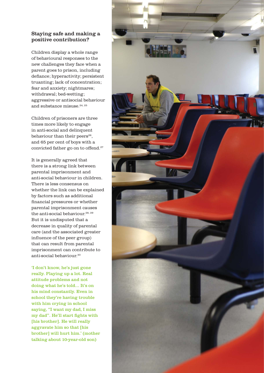# Staying safe and making a positive contribution?

Children display a whole range of behavioural responses to the new challenges they face when a parent goes to prison, including defiance; hyperactivity; persistent truanting; lack of concentration; fear and anxiety; nightmares; withdrawal; bed-wetting; aggressive or antisocial behaviour and substance misuse.  $^{\rm 24,\,25}$ 

Children of prisoners are three times more likely to engage in anti-social and delinquent behaviour than their peers<sup>26</sup>, and 65 per cent of boys with a convicted father go on to offend.<sup>27</sup>

It is generally agreed that there is a strong link between parental imprisonment and anti-social behaviour in children. There is less consensus on whether the link can be explained by factors such as additional financial pressures or whether parental imprisonment causes the anti-social behaviour.<sup>28, 29</sup> But it is undisputed that a decrease in quality of parental care (and the associated greater influence of the peer group) that can result from parental imprisonment can contribute to anti-social behaviour.30

'I don't know, he's just gone really. Playing up a lot. Real attitude problems and not doing what he's told… It's on his mind constantly. Even in school they're having trouble with him crying in school saying, "I want my dad, I miss my dad". He'll start fights with [his brother]. He will really aggravate him so that [his brother] will hurt him.' (mother talking about 10-year-old son)

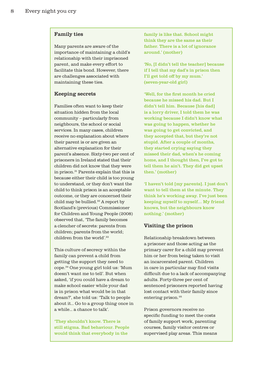# Family ties

Many parents are aware of the importance of maintaining a child's relationship with their imprisoned parent, and make every effort to facilitate this bond. However, there are challenges associated with maintaining these ties.

# Keeping secrets

Families often want to keep their situation hidden from the local community – particularly from neighbours, the school or social services. In many cases, children receive no explanation about where their parent is or are given an alternative explanation for their parent's absence. Sixty-two per cent of prisoners in Ireland stated that their children did not know that they were in prison.31 Parents explain that this is because either their child is too young to understand, or they don't want the child to think prison is an acceptable outcome, or they are concerned their child may be bullied.32 A report by Scotland's (previous) Commissioner for Children and Young People (2008) observed that, 'The family becomes a clencher of secrets: parents from children; parents from the world; children from the world'.<sup>33</sup>

This culture of secrecy within the family can prevent a child from getting the support they need to cope.34 One young girl told us: 'Mum doesn't want me to tell'. But when asked, 'if you could have a dream to make school easier while your dad is in prison what would be in that dream?', she told us: 'Talk to people about it… Go to a group thing once in a while… a chance to talk'.

'They shouldn't know. There is still stigma. Bad behaviour. People would think that everybody in the

family is like that. School might think they are the same as their father. There is a lot of ignorance around.' (mother)

'No, [I didn't tell the teacher] because if I tell that my dad's in prison then I'll get told off by my mum.' (seven-year-old girl)

'Well, for the first month he cried because he missed his dad. But I didn't tell him. Because [his dad] is a lorry driver, I told them he was working because I didn't know what was going to happen, whether he was going to get convicted, and they accepted that, but they're not stupid. After a couple of months, they started crying saying they missed their dad, when's he coming home, and I thought then, I've got to tell them he ain't. They did get upset then.' (mother)

'I haven't told [my parents]. I just don't want to tell them at the minute. They think he's working away. I've just been keeping myself to myself… My friend knows, but the neighbours know nothing.' (mother)

### Visiting the prison

Relationship breakdown between a prisoner and those acting as the primary carer for a child may prevent him or her from being taken to visit an incarcerated parent. Children in care in particular may find visits difficult due to a lack of accompanying adults. Forty-three per cent of sentenced prisoners reported having lost contact with their family since entering prison.<sup>35</sup>

Prison governors receive no specific funding to meet the costs of family support work, parenting courses, family visitor centres or supervised play areas. This means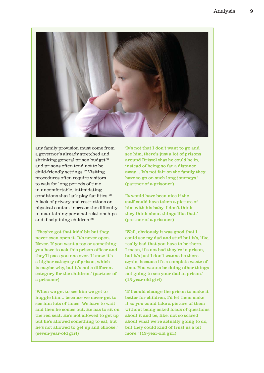

any family provision must come from a governor's already stretched and shrinking general prison budget<sup>36</sup> and prisons often tend not to be child-friendly settings.37 Visiting procedures often require visitors to wait for long periods of time in uncomfortable, intimidating conditions that lack play facilities.38 A lack of privacy and restrictions on physical contact increase the difficulty in maintaining personal relationships and disciplining children.39

'They've got that kids' bit but they never even open it. It's never open. Never. If you want a toy or something you have to ask this prison officer and they'll pass you one over. I know it's a higher category of prison, which is maybe why, but it's not a different category for the children.' (partner of a prisoner)

'When we get to see him we get to huggle him… because we never get to see him lots of times. We have to wait and then he comes out. He has to sit on the red seat. He's not allowed to get up but he's allowed something to eat, but he's not allowed to get up and choose.' (seven-year-old girl)

'It's not that I don't want to go and see him, there's just a lot of prisons around Bristol that he could be in, instead of being so far a distance away… It's not fair on the family they have to go on such long journeys.' (partner of a prisoner)

'It would have been nice if the staff could have taken a picture of him with his baby. I don't think they think about things like that.' (partner of a prisoner)

'Well, obviously it was good that I could see my dad and stuff but it's, like, really bad that you have to be there. I mean, it's not bad they're in prison, but it's just I don't wanna be there again, because it's a complete waste of time. You wanna be doing other things not going to see your dad in prison.' (13-year-old girl)

'If I could change the prison to make it better for children, I'd let them make it so you could take a picture of them without being asked loads of questions about it and be, like, not so scared about what we're actually going to do, but they could kind of trust us a bit more.' (13-year-old girl)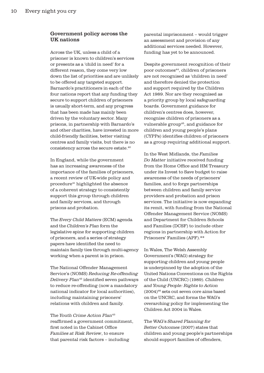# Government policy across the UK nations

Across the UK, unless a child of a prisoner is known to children's services or presents as a 'child in need' for a different reason, they come very low down the list of priorities and are unlikely to be offered any targeted support. Barnardo's practitioners in each of the four nations report that any funding they secure to support children of prisoners is usually short-term, and any progress that has been made has mainly been driven by the voluntary sector. Many prisons, in partnership with Barnardo's and other charities, have invested in more child-friendly facilities, better visiting centres and family visits, but there is no consistency across the secure estate.40

In England, while the government has an increasing awareness of the importance of the families of prisoners, a recent review of UK-wide policy and procedure41 highlighted the absence of a coherent strategy to consistently support this group through children and family services, and through prisons and probation.

The *Every Child Matters* (ECM) agenda and the *Children's Plan* form the legislative spine for supporting children of prisoners, and a series of strategy papers have identified the need to maintain family ties through multi-agency working when a parent is in prison.

The National Offender Management Service's (NOMS) *Reducing Re-offending Delivery Plan<sup>42</sup>* identified seven pathways to reduce re-offending (now a mandatory national indicator for local authorities), including maintaining prisoners' relations with children and family.

The *Youth Crime Action Plan*<sup>43</sup> reaffirmed a government commitment, first noted in the Cabinet Office *Families at Risk Review*, to ensure that parental risk factors – including

parental imprisonment – would trigger an assessment and provision of any additional services needed. However, funding has yet to be announced.

Despite government recognition of their poor outcomes<sup>44</sup>, children of prisoners are not recognised as 'children in need' and therefore denied the protection and support required by the Children Act 1989. Nor are they recognised as a priority group by local safeguarding boards. Government guidance for children's centres does, however, recognise children of prisoners as a vulnerable group<sup>45</sup>, and guidance for children and young people's plans (CYPPs) identifies children of prisoners as a group requiring additional support.

In the West Midlands, the *Families Do Matter* initiative received funding from the Home Office and HM Treasury under its Invest to Save budget to raise awareness of the needs of prisoners' families, and to forge partnerships between children and family service providers and probation and prison services. The initiative is now expanding its remit, with funding from the National Offender Management Service (NOMS) and Department for Children Schools and Families (DCSF) to include other regions in partnership with Action for Prisoners' Families (APF).\*\*

In Wales, The Welsh Assembly Government's (WAG) strategy for supporting children and young people is underpinned by the adoption of the United Nations Conventions on the Rights of the Child (UNCRC) (1989). *Children and Young People: Rights to Action*  $(2004)^{46}$  sets out seven core aims based on the UNCRC, and forms the WAG's overarching policy for implementing the Children Act 2004 in Wales.

The WAG's *Shared Planning for Better Outcomes* (2007) states that children and young people's partnerships should support families of offenders,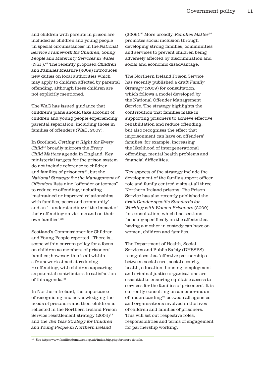and children with parents in prison are included as children and young people 'in special circumstances' in the *National Service Framework for Children, Young People and Maternity Services in Wales* (NSF).47 The recently proposed *Children and Families Measure* (2009) introduces new duties on local authorities which may apply to children affected by parental offending, although these children are not explicitly mentioned.

The WAG has issued guidance that children's plans should take account of children and young people experiencing parental separation, including those in families of offenders (WAG, 2007).

In Scotland, *Getting it Right for Every Child*48 broadly mirrors the *Every Child Matters* agenda in England. Key ministerial targets for the prison system do not include reference to children and families of prisoners<sup>49</sup>, but the *National Strategy for the Management of Offenders* lists nine "offender outcomes" to reduce re-offending, including 'maintained or improved relationships with families, peers and community' and an '...understanding of the impact of their offending on victims and on their own families'.50

Scotland's Commissioner for Children and Young People reported: 'There is… scope within current policy for a focus on children as members of prisoners' families; however, this is all within a framework aimed at reducing re-offending, with children appearing as potential contributors to satisfaction of this agenda'.<sup>51</sup>

In Northern Ireland, the importance of recognising and acknowledging the needs of prisoners and their children is reflected in the Northern Ireland Prison Service resettlement strategy  $(2004)^{52}$ and the *Ten Year Strategy for Children and Young People in Northern Ireland*

(2006).53 More broadly, *Families Matter*<sup>54</sup> promotes social inclusion through developing strong families, communities and services to prevent children being adversely affected by discrimination and social and economic disadvantage.

The Northern Ireland Prison Service has recently published a draft *Family Strategy* (2009) for consultation, which follows a model developed by the National Offender Management Service. The strategy highlights the contribution that families make in supporting prisoners to achieve effective rehabilitation and reduce offending, but also recognises the effect that imprisonment can have on offenders' families; for example, increasing the likelihood of intergenerational offending, mental health problems and financial difficulties.

Key aspects of the strategy include the development of the family support officer role and family centred visits at all three Northern Ireland prisons. The Prison Service has also recently published the draft Gender-specific Standards for *Working with Women Prisoners* (2009) for consultation, which has sections focusing specifically on the affects that having a mother in custody can have on women, children and families.

The Department of Health, Social Services and Public Safety (DHSSPS) recognises that 'effective partnerships between social care, social security, health, education, housing, employment and criminal justice organisations are essential to ensuring equitable access to services for the families of prisoners'. It is currently consulting on a memorandum of understanding<sup>55</sup> between all agencies and organisations involved in the lives of children and families of prisoners. This will set out respective roles, responsibilities and terms of engagement for partnership working.

<sup>\*\*</sup> See http://www.familiesdomatter.org.uk/index.big.php for more details.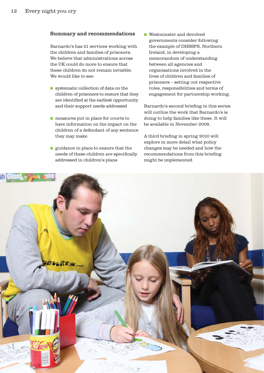### Summary and recommendations

Barnardo's has 21 services working with the children and families of prisoners. We believe that administrations across the UK could do more to ensure that these children do not remain invisible. We would like to see:

- systematic collection of data on the children of prisoners to ensure that they are identified at the earliest opportunity and their support needs addressed
- measures put in place for courts to have information on the impact on the children of a defendant of any sentence they may make
- guidance in place to ensure that the needs of these children are specifically addressed in children's plans

■ Westminster and devolved governments consider following the example of DHSSPS, Northern Ireland, in developing a memorandum of understanding between all agencies and organisations involved in the lives of children and families of prisoners – setting out respective roles, responsibilities and terms of engagement for partnership working.

Barnardo's second briefing in this series will outline the work that Barnardo's is doing to help families like these. It will be available in November 2009.

A third briefing in spring 2010 will explore in more detail what policy changes may be needed and how the recommendations from this briefing might be implemented.

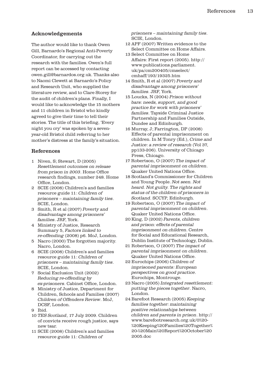# Acknowledgements

The author would like to thank Owen Gill, Barnardo's Regional Anti-Poverty Coordinator, for carrying out the research with the families. Owen's full report can be accessed by contacting owen.gill@barnardos.org.uk. Thanks also to Naomi Clewett at Barnardo's Policy and Research Unit, who supplied the literature review, and to Clare Storey for the audit of children's plans. Finally, I would like to acknowledge the 15 mothers and 11 children in Bristol who kindly agreed to give their time to tell their stories. The title of this briefing, 'Every night you cry' was spoken by a sevenyear-old Bristol child referring to her mother's distress at the family's situation.

# References

- 1 Niven, S; Stewart, D (2005) *Resettlement outcomes on release from prison in 2003*. Home Office research findings, number 248. Home Office, London.
- 2 SCIE (2008) Children's and families resource guide 11: *Children of prisoners – maintaining family ties*. SCIE, London.
- 3 Smith, R et al (2007) *Poverty and disadvantage among prisoners' families*. JRF, York.
- 4 Ministry of Justice, Research Summary 5, *Factors linked to re-offending* (2008) p6. MoJ, London.
- 5 Nacro (2000) The forgotten majority. Nacro, London.
- 6 SCIE (2008) Children's and families resource guide 11: *Children of prisoners – maintaining family ties*. SCIE, London.
- 7 Social Exclusion Unit (2002) *Reducing re-offending by ex-prisoners*. Cabinet Office, London.
- 8 Ministry of Justice, Department for Children, Schools and Families (2007) *Children of Offenders Review*. MoJ, DCSF, London.
- 9 Ibid.
- 10 *TES Scotland*, 17 July 2009. Children of convicts receive rough justice, says new tsar.
- 11 SCIE (2008) Children's and families resource guide 11: *Children of*

*prisoners – maintaining family ties*. SCIE, London.

- 12 APF (2007) Written evidence to the Select Committee on Home Affairs.
- 13 Select Committee on Home Affairs: First report (2005). http:// www.publications.parliament. uk/pa/cm200405/cmselect/ cmhaff /193/19325.htm
- 14 Smith, R et al (2007) *Poverty and disadvantage among prisoners' families*. JRF, York.
- 15 Loucks, N (2004) *Prison without bars: needs, support, and good practice for work with prisoners' families*. Tayside Criminal Justice Partnership and Families Outside, Dundee and Edinburgh.
- 16 Murray, J; Farrington, DP (2008) Effects of parental imprisonment on children. In M Tonry (Ed.), *Crime and Justice: a review of research* (Vol 37, pp133-206). University of Chicago Press, Chicago.
- 17 Robertson, O (2007) *The impact of parental imprisonment on children*. Quaker United Nations Office.
- 18 Scotland's Commissioner for Children and Young People. *Not seen. Not heard. Not guilty. The rights and status of the children of prisoners in Scotland*. SCCYP, Edinburgh.
- 19 Robertson, O (2007) *The impact of parental imprisonment on children*. Quaker United Nations Office.
- 20 King, D (2002) *Parents, children and prison: effects of parental imprisonment on children*. Centre for Social and Educational Research, Dublin Institute of Technology, Dublin.
- 21 Robertson, O (2007) *The impact of parental imprisonment on children*. Quaker United Nations Office.
- 22 Eurochips (2006) *Children of imprisoned parents: European perspectives on good practice*. Eurochips, Montrouge.
- 23 Nacro (2005) *Integrated resettlement: putting the pieces together*. Nacro, London.
- 24 Barefoot Research (2005) *Keeping families together: maintaining positive relationships between children and parents in prison*. http:// www.barefootresearch.org.uk/0%20- %20Keeping%20Families%20Together% 20-%20Main%20Report%20October%20 2005.doc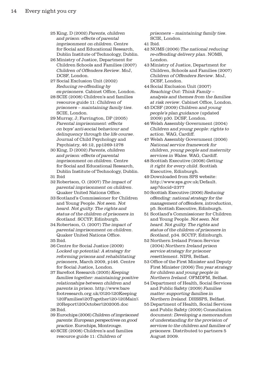- 25 King, D (2002) *Parents, children and prison: effects of parental imprisonment on children*. Centre for Social and Educational Research, Dublin Institute of Technology, Dublin.
- 26 Ministry of Justice, Department for Children Schools and Families (2007) *Children of Offenders Review*. MoJ, DCSF, London.
- 27 Social Exclusion Unit (2002) *Reducing re-offending by ex-prisoners*. Cabinet Office, London.
- 28 SCIE (2008) Children's and families resource guide 11: *Children of prisoners – maintaining family ties*. SCIE, London.
- 29 Murray, J; Farrington, DP (2005) *Parental imprisonment: effects on boys' anti-social behaviour and delinquency through the life course*. Journal of Child Psychology and Psychiatry, 46:12, pp1269-1278
- 30 King, D (2002) *Parents, children and prison: effects of parental imprisonment on children*. Centre for Social and Educational Research, Dublin Institute of Technology, Dublin. 31 Ibid
- 32 Robertson, O. (2007) *The impact of parental imprisonment on children*. Quaker United Nations Office.
- 33 Scotland's Commissioner for Children and Young People. *Not seen. Not heard. Not guilty. The rights and status of the children of prisoners in Scotland*. SCCYP, Edinburgh.
- 34 Robertson, O. (2007) *The impact of parental imprisonment on children*. Quaker United Nations Office. 35 Ibid.
- 
- 36 Centre for Social Justice (2009) *Locked up potential: A strategy for reforming prisons and rehabilitating prisoners*, March 2009, p146. Centre for Social Justice, London.
- 37 Barefoot Research (2005) *Keeping families together: maintaining positive relationships between children and parents in prison*. http://www.bare footresearch.org.uk/0%20-%20Keeping %20Families%20Together%20-%20Main% 20Report%20October%202005.doc
- 38 Ibid.
- 39 Eurochips (2006) *Children of imprisoned parents: European perspectives on good practice*. Eurochips, Montrouge.
- 40 SCIE (2008) Children's and families resource guide 11: *Children of*

*prisoners – maintaining family ties*. SCIE, London.

- 41 Ibid.
- 42 NOMS (2006) *The national reducing re-offending delivery plan*. NOMS, London.
- 43 Ministry of Justice, Department for Children, Schools and Families (2007) *Children of Offenders Review*. MoJ, DCSF, London.
- 44 Social Exclusion Unit (2007) *Reaching Out: Think Family – analysis and themes from the families at risk review.* Cabinet Office, London.
- 45 DCSF (2009) *Children and young people's plan guidance* (updated 2009) p30. DCSF, London.
- 46 Welsh Assembly Government (2004) *Children and young people: rights to action*. WAG, Cardiff.
- 47 Welsh Assembly Government (2006) *National service framework for children, young people and maternity services in Wales*. WAG, Cardiff .
- 48 Scottish Executive (2008) *Getting it right for every child*. Scottish Executive, Edinburgh.
- 49 Downloaded from SPS website: http://www.sps.gov.uk/Default. asp?docid=2377
- 50 Scottish Executive (2006) *Reducing offending: national strategy for the management of offenders, introduction*, p5. Scottish Executive, Edinburgh.
- 51 Scotland's Commissioner for Children and Young People. *Not seen. Not heard. Not guilty. The rights and status of the children of prisoners in Scotland*, p34. SCCYP, Edinburgh.
- 52 Northern Ireland Prison Service (2004) *Northern Ireland prison service strategy for prisoner resettlement*. NIPS, Belfast.
- 53 Office of the First Minister and Deputy First Minister (2006) *Ten year strategy for children and young people in Northern Ireland*. OFMDFM, Belfast.
- 54 Department of Health, Social Services and Public Safety (2009) *Families matter: supporting families in Northern Ireland*. DHSSPS, Belfast.
- 55 Department of Health, Social Services and Public Safety (2009) Consultation document: *Developing a memorandum of understanding for the provision of services to the children and families of prisoners*. Distributed to partners 5 August 2009.